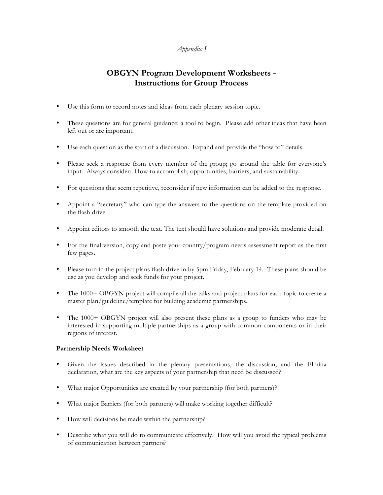# *Appendix I*

# **OBGYN Program Development Worksheets - Instructions for Group Process**

- Use this form to record notes and ideas from each plenary session topic.
- These questions are for general guidance; a tool to begin. Please add other ideas that have been left out or are important.
- Use each question as the start of a discussion. Expand and provide the "how to" details.
- Please seek a response from every member of the group; go around the table for everyone's input. Always consider: How to accomplish, opportunities, barriers, and sustainability.
- For questions that seem repetitive, reconsider if new information can be added to the response.
- Appoint a "secretary" who can type the answers to the questions on the template provided on the flash drive.
- Appoint editors to smooth the text. The text should have solutions and provide moderate detail.
- For the final version, copy and paste your country/program needs assessment report as the first few pages.
- Please turn in the project plans flash drive in by 5pm Friday, February 14. These plans should be use as you develop and seek funds for your project.
- The 1000+ OBGYN project will compile all the talks and project plans for each topic to create a master plan/guideline/template for building academic partnerships.
- The 1000+ OBGYN project will also present these plans as a group to funders who may be interested in supporting multiple partnerships as a group with common components or in their regions of interest.

## **Partnership Needs Worksheet**

- Given the issues described in the plenary presentations, the discussion, and the Elmina declaration, what are the key aspects of your partnership that need be discussed?
- What major Opportunities are created by your partnership (for both partners)?
- What major Barriers (for both partners) will make working together difficult?
- How will decisions be made within the partnership?
- Describe what you will do to communicate effectively. How will you avoid the typical problems of communication between partners?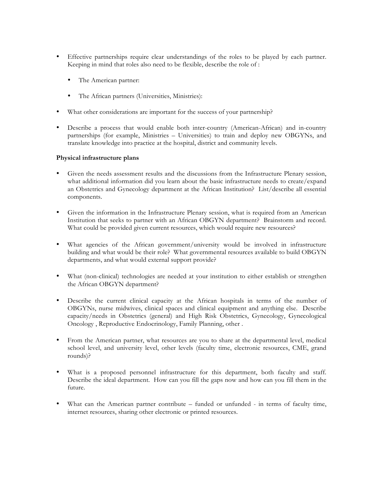- Effective partnerships require clear understandings of the roles to be played by each partner. Keeping in mind that roles also need to be flexible, describe the role of :
	- The American partner:
	- The African partners (Universities, Ministries):
- What other considerations are important for the success of your partnership?
- Describe a process that would enable both inter-country (American-African) and in-country partnerships (for example, Ministries – Universities) to train and deploy new OBGYNs, and translate knowledge into practice at the hospital, district and community levels.

#### **Physical infrastructure plans**

- Given the needs assessment results and the discussions from the Infrastructure Plenary session, what additional information did you learn about the basic infrastructure needs to create/expand an Obstetrics and Gynecology department at the African Institution? List/describe all essential components.
- Given the information in the Infrastructure Plenary session, what is required from an American Institution that seeks to partner with an African OBGYN department? Brainstorm and record. What could be provided given current resources, which would require new resources?
- What agencies of the African government/university would be involved in infrastructure building and what would be their role? What governmental resources available to build OBGYN departments, and what would external support provide?
- What (non-clinical) technologies are needed at your institution to either establish or strengthen the African OBGYN department?
- Describe the current clinical capacity at the African hospitals in terms of the number of OBGYNs, nurse midwives, clinical spaces and clinical equipment and anything else. Describe capacity/needs in Obstetrics (general) and High Risk Obstetrics, Gynecology, Gynecological Oncology , Reproductive Endocrinology, Family Planning, other .
- From the American partner, what resources are you to share at the departmental level, medical school level, and university level, other levels (faculty time, electronic resources, CME, grand rounds)?
- What is a proposed personnel infrastructure for this department, both faculty and staff. Describe the ideal department. How can you fill the gaps now and how can you fill them in the future.
- What can the American partner contribute funded or unfunded in terms of faculty time, internet resources, sharing other electronic or printed resources.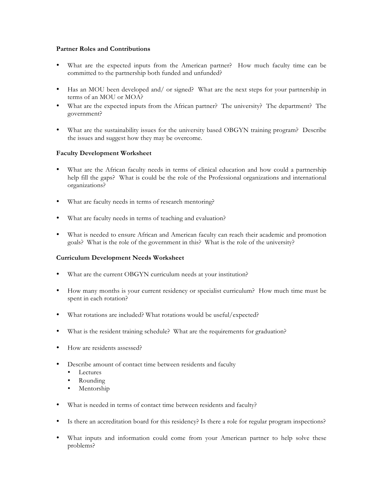## **Partner Roles and Contributions**

- What are the expected inputs from the American partner? How much faculty time can be committed to the partnership both funded and unfunded?
- Has an MOU been developed and/ or signed? What are the next steps for your partnership in terms of an MOU or MOA?
- What are the expected inputs from the African partner? The university? The department? The government?
- What are the sustainability issues for the university based OBGYN training program? Describe the issues and suggest how they may be overcome.

## **Faculty Development Worksheet**

- What are the African faculty needs in terms of clinical education and how could a partnership help fill the gaps? What is could be the role of the Professional organizations and international organizations?
- What are faculty needs in terms of research mentoring?
- What are faculty needs in terms of teaching and evaluation?
- What is needed to ensure African and American faculty can reach their academic and promotion goals? What is the role of the government in this? What is the role of the university?

## **Curriculum Development Needs Worksheet**

- What are the current OBGYN curriculum needs at your institution?
- How many months is your current residency or specialist curriculum? How much time must be spent in each rotation?
- What rotations are included? What rotations would be useful/expected?
- What is the resident training schedule? What are the requirements for graduation?
- How are residents assessed?
- Describe amount of contact time between residents and faculty
	- **Lectures**
	- Rounding
	- Mentorship
- What is needed in terms of contact time between residents and faculty?
- Is there an accreditation board for this residency? Is there a role for regular program inspections?
- What inputs and information could come from your American partner to help solve these problems?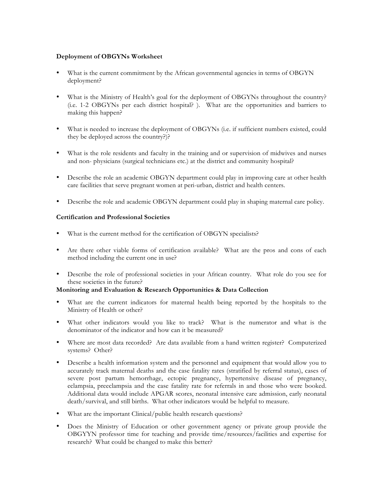## **Deployment of OBGYNs Worksheet**

- What is the current commitment by the African governmental agencies in terms of OBGYN deployment?
- What is the Ministry of Health's goal for the deployment of OBGYNs throughout the country? (i.e. 1-2 OBGYNs per each district hospital? ). What are the opportunities and barriers to making this happen?
- What is needed to increase the deployment of OBGYNs (i.e. if sufficient numbers existed, could they be deployed across the country?)?
- What is the role residents and faculty in the training and or supervision of midwives and nurses and non- physicians (surgical technicians etc.) at the district and community hospital?
- Describe the role an academic OBGYN department could play in improving care at other health care facilities that serve pregnant women at peri-urban, district and health centers.
- Describe the role and academic OBGYN department could play in shaping maternal care policy.

#### **Certification and Professional Societies**

- What is the current method for the certification of OBGYN specialists?
- Are there other viable forms of certification available? What are the pros and cons of each method including the current one in use?
- Describe the role of professional societies in your African country. What role do you see for these societies in the future?

# **Monitoring and Evaluation & Research Opportunities & Data Collection**

- What are the current indicators for maternal health being reported by the hospitals to the Ministry of Health or other?
- What other indicators would you like to track? What is the numerator and what is the denominator of the indicator and how can it be measured?
- Where are most data recorded? Are data available from a hand written register? Computerized systems? Other?
- Describe a health information system and the personnel and equipment that would allow you to accurately track maternal deaths and the case fatality rates (stratified by referral status), cases of severe post partum hemorrhage, ectopic pregnancy, hypertensive disease of pregnancy, eclampsia, preeclampsia and the case fatality rate for referrals in and those who were booked. Additional data would include APGAR scores, neonatal intensive care admission, early neonatal death/survival, and still births. What other indicators would be helpful to measure.
- What are the important Clinical/public health research questions?
- Does the Ministry of Education or other government agency or private group provide the OBGYYN professor time for teaching and provide time/resources/facilities and expertise for research? What could be changed to make this better?